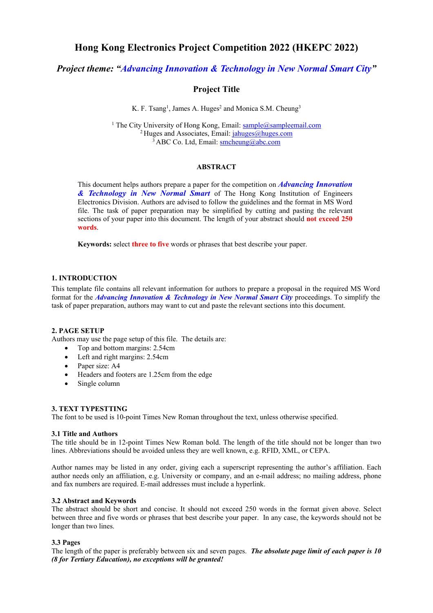# **Hong Kong Electronics Project Competition 2022 (HKEPC 2022)**

*Project theme: "Advancing Innovation & Technology in New Normal Smart City"*

## **Project Title**

K. F. Tsang<sup>1</sup>, James A. Huges<sup>2</sup> and Monica S.M. Cheung<sup>3</sup>

<sup>1</sup> The City University of Hong Kong, Email: [sample@sampleemail.com](mailto:sample@sampleemail.com) <sup>2</sup> Huges and Associates, Email: [jahuges@huges.com](mailto:jahuges@huges.com)  $3$  ABC Co. Ltd, Email: [smcheung@abc.com](mailto:tkcheung@tkc.com)

## **ABSTRACT**

This document helps authors prepare a paper for the competition on *Advancing Innovation & Technology in New Normal Smart* of The Hong Kong Institution of Engineers Electronics Division. Authors are advised to follow the guidelines and the format in MS Word file. The task of paper preparation may be simplified by cutting and pasting the relevant sections of your paper into this document. The length of your abstract should **not exceed 250 words**.

**Keywords:** select **three to five** words or phrases that best describe your paper.

## **1. INTRODUCTION**

This template file contains all relevant information for authors to prepare a proposal in the required MS Word format for the *Advancing Innovation & Technology in New Normal Smart City* proceedings. To simplify the task of paper preparation, authors may want to cut and paste the relevant sections into this document.

## **2. PAGE SETUP**

Authors may use the page setup of this file. The details are:

- Top and bottom margins: 2.54cm
- Left and right margins: 2.54cm
- Paper size: A4
- Headers and footers are 1.25cm from the edge
- Single column

#### **3. TEXT TYPESTTING**

The font to be used is 10-point Times New Roman throughout the text, unless otherwise specified.

#### **3.1 Title and Authors**

The title should be in 12-point Times New Roman bold. The length of the title should not be longer than two lines. Abbreviations should be avoided unless they are well known, e.g. RFID, XML, or CEPA.

Author names may be listed in any order, giving each a superscript representing the author's affiliation. Each author needs only an affiliation, e.g. University or company, and an e-mail address; no mailing address, phone and fax numbers are required. E-mail addresses must include a hyperlink.

## **3.2 Abstract and Keywords**

The abstract should be short and concise. It should not exceed 250 words in the format given above. Select between three and five words or phrases that best describe your paper. In any case, the keywords should not be longer than two lines.

## **3.3 Pages**

The length of the paper is preferably between six and seven pages. *The absolute page limit of each paper is 10 (8 for Tertiary Education), no exceptions will be granted!*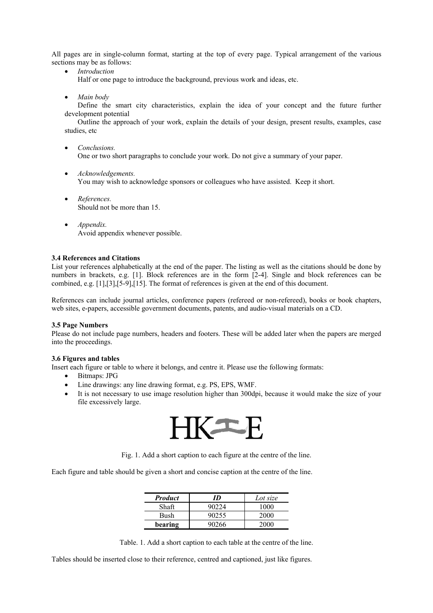All pages are in single-column format, starting at the top of every page. Typical arrangement of the various sections may be as follows:

• *Introduction*

Half or one page to introduce the background, previous work and ideas, etc.

• *Main body*

Define the smart city characteristics, explain the idea of your concept and the future further development potential

Outline the approach of your work, explain the details of your design, present results, examples, case studies, etc

- *Conclusions.* One or two short paragraphs to conclude your work. Do not give a summary of your paper.
- *Acknowledgements.* You may wish to acknowledge sponsors or colleagues who have assisted. Keep it short.
- *References.* Should not be more than 15.
- *Appendix.* Avoid appendix whenever possible.

## **3.4 References and Citations**

List your references alphabetically at the end of the paper. The listing as well as the citations should be done by numbers in brackets, e.g. [1]. Block references are in the form [2-4]. Single and block references can be combined, e.g. [1],[3],[5-9],[15]. The format of references is given at the end of this document.

References can include journal articles, conference papers (refereed or non-refereed), books or book chapters, web sites, e-papers, accessible government documents, patents, and audio-visual materials on a CD.

#### **3.5 Page Numbers**

Please do not include page numbers, headers and footers. These will be added later when the papers are merged into the proceedings.

#### **3.6 Figures and tables**

Insert each figure or table to where it belongs, and centre it. Please use the following formats:

- Bitmaps: JPG
- Line drawings: any line drawing format, e.g. PS, EPS, WMF.
- It is not necessary to use image resolution higher than 300dpi, because it would make the size of your file excessively large.



Fig. 1. Add a short caption to each figure at the centre of the line.

Each figure and table should be given a short and concise caption at the centre of the line.

| <b>Product</b> | ID    | Lot size |
|----------------|-------|----------|
| Shaft          | 90224 | 1000     |
| Bush           | 90255 | 2000     |
| bearing        | 90266 | 2000     |

Table. 1. Add a short caption to each table at the centre of the line.

Tables should be inserted close to their reference, centred and captioned, just like figures.